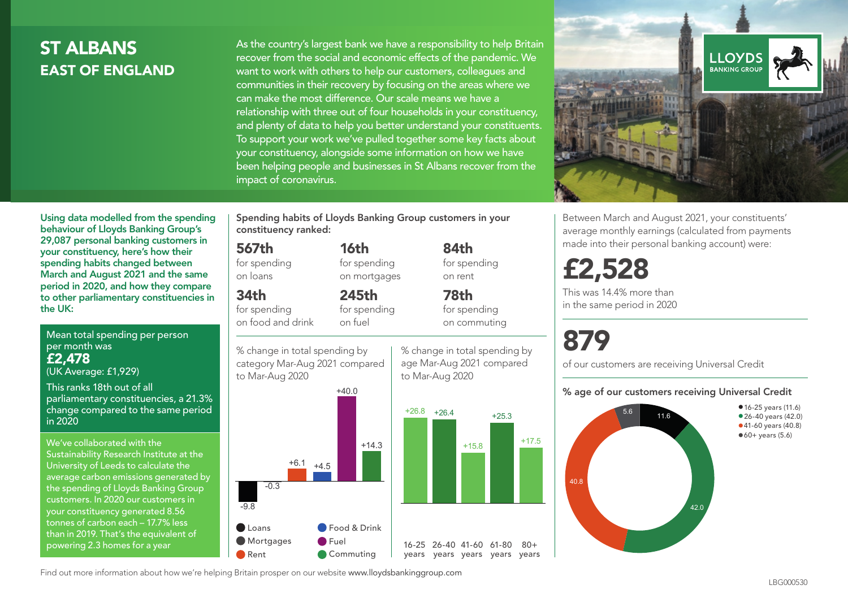## **ST ALBANS** EAST OF ENGLAND

As the country's largest bank we have a responsibility to help Britain recover from the social and economic effects of the pandemic. We want to work with others to help our customers, colleagues and communities in their recovery by focusing on the areas where we can make the most difference. Our scale means we have a relationship with three out of four households in your constituency, and plenty of data to help you better understand your constituents. To support your work we've pulled together some key facts about your constituency, alongside some information on how we have been helping people and businesses in St Albans recover from the impact of coronavirus.



Between March and August 2021, your constituents' average monthly earnings (calculated from payments made into their personal banking account) were:

## £2,528

This was 14.4% more than in the same period in 2020

# 879

of our customers are receiving Universal Credit

#### % age of our customers receiving Universal Credit



Using data modelled from the spending behaviour of Lloyds Banking Group's 29,087 personal banking customers in your constituency, here's how their spending habits changed between March and August 2021 and the same period in 2020, and how they compare to other parliamentary constituencies in the UK:

Mean total spending per person per month was £2,478

(UK Average: £1,929)

This ranks 18th out of all parliamentary constituencies, a 21.3% change compared to the same period in 2020

We've collaborated with the Sustainability Research Institute at the University of Leeds to calculate the average carbon emissions generated by the spending of Lloyds Banking Group customers. In 2020 our customers in your constituency generated 8.56 tonnes of carbon each – 17.7% less than in 2019. That's the equivalent of powering 2.3 homes for a year

Spending habits of Lloyds Banking Group customers in your constituency ranked:

> 16th for spending on mortgages

245th

## 567th

for spending on loans

34th

for spending on food and drink for spending on fuel

% change in total spending by category Mar-Aug 2021 compared to Mar-Aug 2020

% change in total spending by age Mar-Aug 2021 compared to Mar-Aug 2020

84th for spending on rent

78th for spending on commuting



Find out more information about how we're helping Britain prosper on our website www.lloydsbankinggroup.com